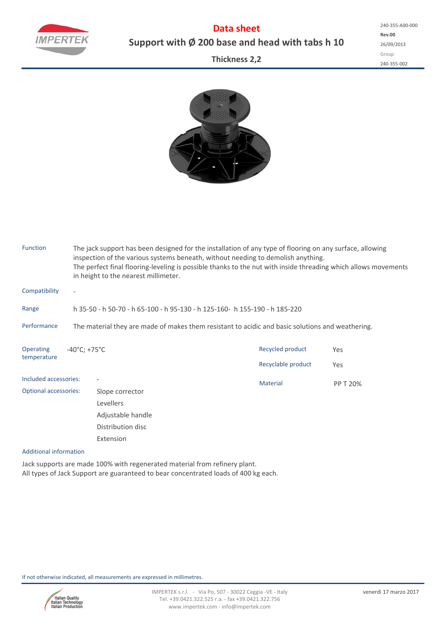**Data sheet Support with Ø 200 base and head with tabs h 10** **Rev.00** 26/09/2013 Group 240‐355‐002 240‐355‐A00‐000

## **Thickness 2,2**



| <b>Function</b>                 |                                                                                                  | The jack support has been designed for the installation of any type of flooring on any surface, allowing<br>inspection of the various systems beneath, without needing to demolish anything.<br>The perfect final flooring-leveling is possible thanks to the nut with inside threading which allows movements<br>in height to the nearest millimeter. |                                        |            |  |  |  |  |  |  |
|---------------------------------|--------------------------------------------------------------------------------------------------|--------------------------------------------------------------------------------------------------------------------------------------------------------------------------------------------------------------------------------------------------------------------------------------------------------------------------------------------------------|----------------------------------------|------------|--|--|--|--|--|--|
| Compatibility                   | $\overline{\phantom{a}}$                                                                         |                                                                                                                                                                                                                                                                                                                                                        |                                        |            |  |  |  |  |  |  |
| Range                           |                                                                                                  | h 35-50 - h 50-70 - h 65-100 - h 95-130 - h 125-160- h 155-190 - h 185-220                                                                                                                                                                                                                                                                             |                                        |            |  |  |  |  |  |  |
| Performance                     | The material they are made of makes them resistant to acidic and basic solutions and weathering. |                                                                                                                                                                                                                                                                                                                                                        |                                        |            |  |  |  |  |  |  |
| <b>Operating</b><br>temperature | $-40^{\circ}$ C; +75 $^{\circ}$ C                                                                |                                                                                                                                                                                                                                                                                                                                                        | Recycled product<br>Recyclable product | Yes<br>Yes |  |  |  |  |  |  |
| Included accessories:           |                                                                                                  |                                                                                                                                                                                                                                                                                                                                                        | <b>Material</b>                        | PP T 20%   |  |  |  |  |  |  |
| <b>Optional accessories:</b>    |                                                                                                  | Slope corrector                                                                                                                                                                                                                                                                                                                                        |                                        |            |  |  |  |  |  |  |
|                                 |                                                                                                  | Levellers                                                                                                                                                                                                                                                                                                                                              |                                        |            |  |  |  |  |  |  |
|                                 |                                                                                                  | Adjustable handle                                                                                                                                                                                                                                                                                                                                      |                                        |            |  |  |  |  |  |  |
|                                 |                                                                                                  | Distribution disc                                                                                                                                                                                                                                                                                                                                      |                                        |            |  |  |  |  |  |  |
|                                 |                                                                                                  | Extension                                                                                                                                                                                                                                                                                                                                              |                                        |            |  |  |  |  |  |  |

## Additional information

Jack supports are made 100% with regenerated material from refinery plant. All types of Jack Support are guaranteed to bear concentrated loads of 400 kg each.

If not otherwise indicated, all measurements are expressed in millimetres.